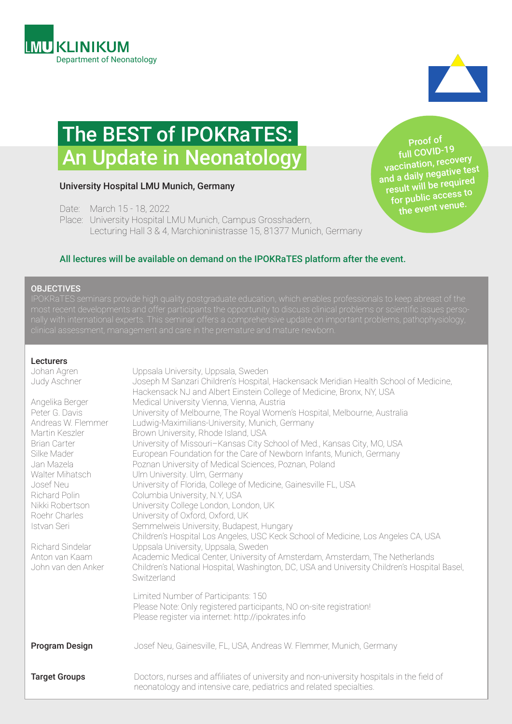



# The BEST of IPOKRaTES: An Update in Neonatology

#### University Hospital LMU Munich, Germany

Date: March 15 - 18, 2022

Place: University Hospital LMU Munich, Campus Grosshadern, Lecturing Hall 3 & 4, Marchioninistrasse 15, 81377 Munich, Germany

Proof of full COVID-19 vaccination, recovery and a daily negative test result will be required for public access to the event venue.

#### All lectures will be available on demand on the IPOKRaTES platform after the event.

#### **OBJECTIVES**

#### Lecturers

| Johan Agren<br>Judy Aschner<br>Angelika Berger<br>Peter G. Davis<br>Andreas W. Flemmer<br>Martin Keszler<br><b>Brian Carter</b><br>Silke Mader<br>Jan Mazela<br>Walter Mihatsch<br>Josef Neu<br>Richard Polin<br>Nikki Robertson<br>Roehr Charles<br>Istvan Seri<br>Richard Sindelar<br>Anton van Kaam<br>John van den Anker | Uppsala University, Uppsala, Sweden<br>Joseph M Sanzari Children's Hospital, Hackensack Meridian Health School of Medicine,<br>Hackensack NJ and Albert Einstein College of Medicine, Bronx, NY, USA<br>Medical University Vienna, Vienna, Austria<br>University of Melbourne, The Royal Women's Hospital, Melbourne, Australia<br>Ludwig-Maximilians-University, Munich, Germany<br>Brown University, Rhode Island, USA<br>University of Missouri-Kansas City School of Med., Kansas City, MO, USA<br>European Foundation for the Care of Newborn Infants, Munich, Germany<br>Poznan University of Medical Sciences, Poznan, Poland<br>Ulm University. Ulm, Germany<br>University of Florida, College of Medicine, Gainesville FL, USA<br>Columbia University, N.Y, USA<br>University College London, London, UK<br>University of Oxford, Oxford, UK<br>Semmelweis University, Budapest, Hungary<br>Children's Hospital Los Angeles, USC Keck School of Medicine, Los Angeles CA, USA<br>Uppsala University, Uppsala, Sweden<br>Academic Medical Center, University of Amsterdam, Amsterdam, The Netherlands<br>Children's National Hospital, Washington, DC, USA and University Children's Hospital Basel,<br>Switzerland<br>Limited Number of Participants: 150<br>Please Note: Only registered participants, NO on-site registration! |
|------------------------------------------------------------------------------------------------------------------------------------------------------------------------------------------------------------------------------------------------------------------------------------------------------------------------------|-------------------------------------------------------------------------------------------------------------------------------------------------------------------------------------------------------------------------------------------------------------------------------------------------------------------------------------------------------------------------------------------------------------------------------------------------------------------------------------------------------------------------------------------------------------------------------------------------------------------------------------------------------------------------------------------------------------------------------------------------------------------------------------------------------------------------------------------------------------------------------------------------------------------------------------------------------------------------------------------------------------------------------------------------------------------------------------------------------------------------------------------------------------------------------------------------------------------------------------------------------------------------------------------------------------------------------------------|
| <b>Program Design</b>                                                                                                                                                                                                                                                                                                        | Please register via internet: http://ipokrates.info<br>Josef Neu, Gainesville, FL, USA, Andreas W. Flemmer, Munich, Germany                                                                                                                                                                                                                                                                                                                                                                                                                                                                                                                                                                                                                                                                                                                                                                                                                                                                                                                                                                                                                                                                                                                                                                                                               |
| <b>Target Groups</b>                                                                                                                                                                                                                                                                                                         | Doctors, nurses and affiliates of university and non-university hospitals in the field of<br>neonatology and intensive care, pediatrics and related specialties.                                                                                                                                                                                                                                                                                                                                                                                                                                                                                                                                                                                                                                                                                                                                                                                                                                                                                                                                                                                                                                                                                                                                                                          |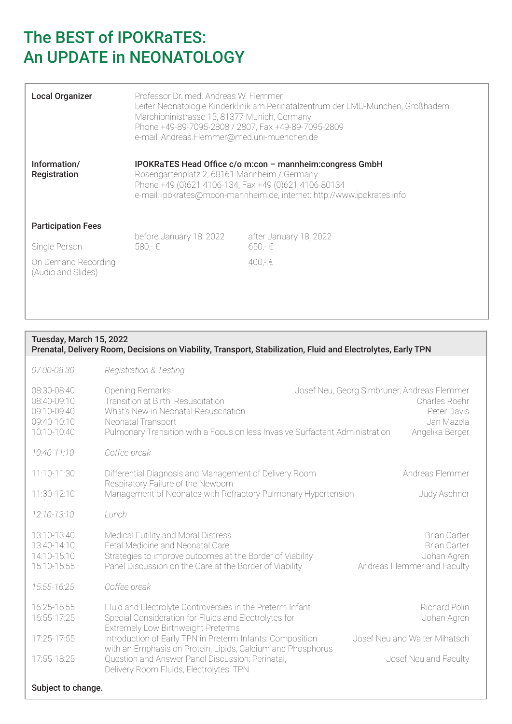| <b>Local Organizer</b>                    | Professor Dr. med. Andreas W. Flemmer,<br>Marchioninistrasse 15, 81377 Munich, Germany<br>Phone +49-89-7095-2808 / 2807, Fax +49-89-7095-2809<br>e-mail: Andreas.Flemmer@med.uni-muenchen.de                                                | Leiter Neonatologie Kinderklinik am Perinatalzentrum der LMU-München, Großhadern |
|-------------------------------------------|---------------------------------------------------------------------------------------------------------------------------------------------------------------------------------------------------------------------------------------------|----------------------------------------------------------------------------------|
| Information/<br>Registration              | IPOKRaTES Head Office c/o m:con - mannheim:congress GmbH<br>Rosengartenplatz 2, 68161 Mannheim / Germany<br>Phone +49 (0)621 4106-134, Fax +49 (0)621 4106-80134<br>e-mail: ipokrates@mcon-mannheim.de, internet: http://www.ipokrates.info |                                                                                  |
| <b>Participation Fees</b>                 | before January 18, 2022                                                                                                                                                                                                                     | after January 18, 2022                                                           |
| Single Person                             | 580,-€                                                                                                                                                                                                                                      | $650 - \epsilon$                                                                 |
| On Demand Recording<br>(Audio and Slides) |                                                                                                                                                                                                                                             | 400 $ \in$                                                                       |

### Tuesday, March 15, 2022 Prenatal, Delivery Room, Decisions on Viability, Transport, Stabilization, Fluid and Electrolytes, Early TPN *07:00-08.30 Registration & Testing* 08:30-08:40 Opening Remarks Josef Neu, Georg Simbruner, Andreas Flemmer 08:40-09:10 Transition at Birth: Resuscitation Charles Roehr 09:10-09:40 What's New in Neonatal Resuscitation **Peter Davis** Peter Davis 09:40-10:10 Neonatal Transport Jan Mazela 10:10-10:40 Pulmonary Transition with a Focus on less Invasive Surfactant Administration Angelika Berger *10:40-11:10 Coffee break* 11:10-11:30 Differential Diagnosis and Management of Delivery Room Andreas Flemmer Respiratory Failure of the Newborn 11:30-12:10 Management of Neonates with Refractory Pulmonary Hypertension Judy Aschner *12:10-13:10 Lunch* 13:10-13:40 Medical Futility and Moral Distress Brian Carter Brian Carter Brian Carter 13:40-14:10 Fetal Medicine and Neonatal Care Brian Carter Brian Carter Brian Carter 14:10-15:10 Strategies to improve outcomes at the Border of Viability Johan Agren 15:10-15:55 Panel Discussion on the Care at the Border of Viability Andreas Flemmer and Faculty *15:55-16:25 Coffee break* 16:25-16:55 Fluid and Electrolyte Controversies in the Preterm Infant Richard Polin 16:55-17:25 Special Consideration for Fluids and Electrolytes for Johan Agren Extremely Low Birthweight Preterms 17:25-17:55 Introduction of Early TPN in Preterm Infants: Composition Josef Neu and Walter Mihatsch with an Emphasis on Protein, Lipids, Calcium and Phosphorus 17:55-18:25 Question and Answer Panel Discussion: Perinatal, Josef Neu and Faculty Delivery Room Fluids, Electrolytes, TPN Subject to change.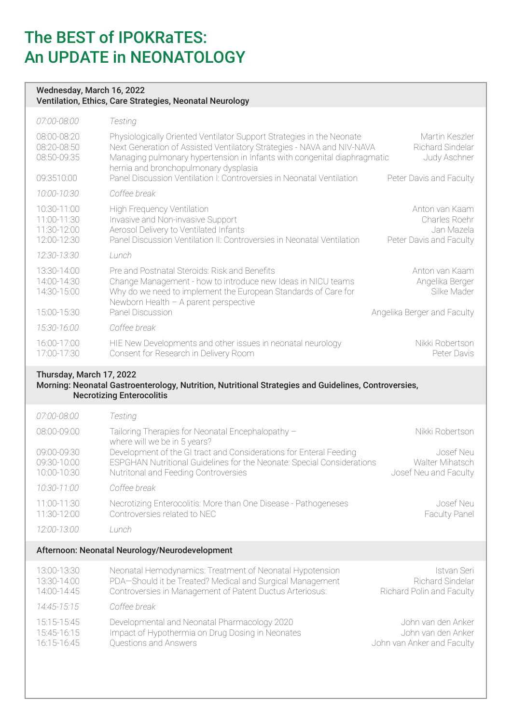#### Wednesday, March 16, 2022 Ventilation, Ethics, Care Strategies, Neonatal Neurology

| 07:00-08:00                                              | Testing                                                                                                                                                                                                                                                                                                                                       |                                                                                 |
|----------------------------------------------------------|-----------------------------------------------------------------------------------------------------------------------------------------------------------------------------------------------------------------------------------------------------------------------------------------------------------------------------------------------|---------------------------------------------------------------------------------|
| 08:00-08:20<br>08:20-08:50<br>08:50-09:35<br>09:3510:00  | Physiologically Oriented Ventilator Support Strategies in the Neonate<br>Next Generation of Assisted Ventilatory Strategies - NAVA and NIV-NAVA<br>Managing pulmonary hypertension in Infants with congenital diaphragmatic<br>hernia and bronchopulmonary dysplasia<br>Panel Discussion Ventilation I: Controversies in Neonatal Ventilation | Martin Keszler<br>Richard Sindelar<br>Judy Aschner<br>Peter Davis and Faculty   |
| 10:00-10:30                                              | Coffee break                                                                                                                                                                                                                                                                                                                                  |                                                                                 |
| 10:30-11:00<br>11:00-11:30<br>11:30-12:00<br>12:00-12:30 | <b>High Frequency Ventilation</b><br>Invasive and Non-invasive Support<br>Aerosol Delivery to Ventilated Infants<br>Panel Discussion Ventilation II: Controversies in Neonatal Ventilation                                                                                                                                                    | Anton van Kaam<br>Charles Roehr<br>Jan Mazela<br>Peter Davis and Faculty        |
| 12:30-13:30                                              | Lunch                                                                                                                                                                                                                                                                                                                                         |                                                                                 |
| 13:30-14:00<br>14:00-14:30<br>14:30-15:00<br>15:00-15:30 | Pre and Postnatal Steroids: Risk and Benefits<br>Change Management - how to introduce new Ideas in NICU teams<br>Why do we need to implement the European Standards of Care for<br>Newborn Health - A parent perspective<br>Panel Discussion                                                                                                  | Anton van Kaam<br>Angelika Berger<br>Silke Mader<br>Angelika Berger and Faculty |
| 15:30-16:00                                              | Coffee break                                                                                                                                                                                                                                                                                                                                  |                                                                                 |
| 16:00-17:00<br>17:00-17:30                               | HIE New Developments and other issues in neonatal neurology<br>Consent for Research in Delivery Room                                                                                                                                                                                                                                          | Nikki Robertson<br>Peter Davis                                                  |

### Thursday, March 17, 2022

#### Morning: Neonatal Gastroenterology, Nutrition, Nutritional Strategies and Guidelines, Controversies, Necrotizing Enterocolitis

| 07:00-08:00                                    | Testing                                                                                                                                                                              |                                                       |
|------------------------------------------------|--------------------------------------------------------------------------------------------------------------------------------------------------------------------------------------|-------------------------------------------------------|
| 08:00-09:00                                    | Tailoring Therapies for Neonatal Encephalopathy -<br>where will we be in 5 years?                                                                                                    | Nikki Robertson                                       |
| 09:00-09:30<br>09:30-10:00<br>10:00-10:30      | Development of the GI tract and Considerations for Enteral Feeding<br>ESPGHAN Nutritional Guidelines for the Neonate: Special Considerations<br>Nutritonal and Feeding Controversies | Josef Neu<br>Walter Mihatsch<br>Josef Neu and Faculty |
| 10:30-11:00                                    | Coffee break                                                                                                                                                                         |                                                       |
| 11:00-11:30<br>11:30-12:00                     | Necrotizing Enterocolitis: More than One Disease - Pathogeneses<br>Controversies related to NEC                                                                                      | Josef Neu<br><b>Faculty Panel</b>                     |
| 12:00-13:00                                    | Lunch.                                                                                                                                                                               |                                                       |
| Afternoon: Neonatal Neurology/Neurodevelopment |                                                                                                                                                                                      |                                                       |
| $10.00110.00$                                  | Noopotal Lamoadynamica: Tractmont of Noopotal Lynctensian                                                                                                                            | Istuar Osci                                           |

| 13:00-13:30 | Neonatal Hemodynamics: Treatment of Neonatal Hypotension  | Istvan Seri                      |
|-------------|-----------------------------------------------------------|----------------------------------|
| 13:30-14:00 | PDA-Should it be Treated? Medical and Surgical Management | Richard Sindelar                 |
| 14:00-14:45 | Controversies in Management of Patent Ductus Arteriosus:  | <b>Richard Polin and Faculty</b> |
| 14:45-15:15 | Coffee break                                              |                                  |
| 15:15-15:45 | Developmental and Neonatal Pharmacology 2020              | John van den Anker               |
| 15:45-16:15 | Impact of Hypothermia on Drug Dosing in Neonates          | John van den Anker               |
| 16:15-16:45 | Questions and Answers                                     | John van Anker and Faculty       |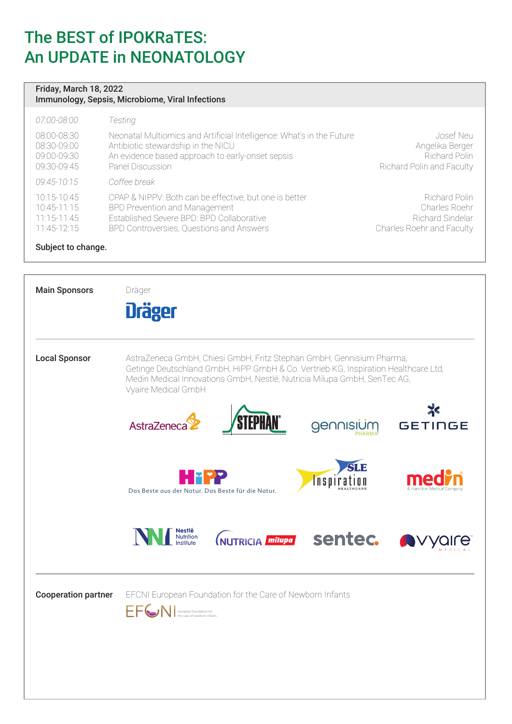#### Friday, March 18, 2022 Immunology, Sepsis, Microbiome, Viral Infections

| 07:00-08:00   | Testing                                                               |                                  |
|---------------|-----------------------------------------------------------------------|----------------------------------|
| 08:00-08:30   | Neonatal Multiomics and Artificial Intelligence: What's in the Future | Josef Neu                        |
| 08:30-09:00   | Antibiotic stewardship in the NICU                                    | Angelika Berger                  |
| 09:00-09:30   | An evidence based approach to early-onset sepsis                      | Richard Polin                    |
| 09:30-09:45   | Panel Discussion                                                      | <b>Richard Polin and Faculty</b> |
| 09:45-10:15   | Coffee break                                                          |                                  |
| 10:15-10:45   | CPAP & NIPPV: Both can be effective, but one is better                | Richard Polin                    |
| $10:45-11:15$ | BPD Prevention and Management                                         | Charles Roehr                    |
| $11:15-11:45$ | Established Severe BPD: BPD Collaborative                             | Richard Sindelar                 |
| $11:45-12:15$ | BPD Controversies, Questions and Answers                              | Charles Roehr and Faculty        |

Subject to change.